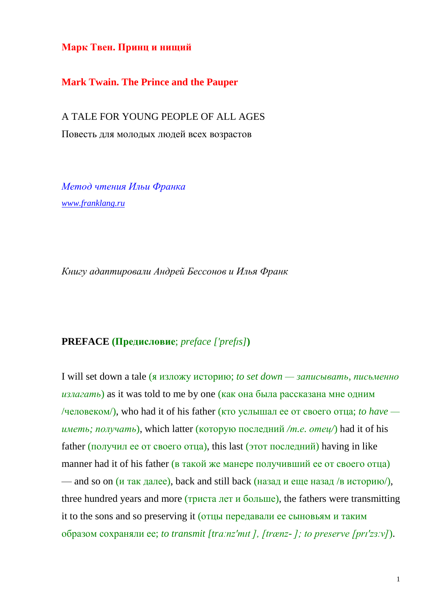**Марк Твен. Принц и нищий**

**Mark Twain. The Prince and the Pauper**

A TALE FOR YOUNG PEOPLE OF ALL AGES Повесть для молодых людей всех возрастов

*Метод чтения Ильи Франка [www.franklang.ru](http://www.franklang.ru/)*

*Книгу адаптировали Андрей Бессонов и Илья Франк*

## **PREFACE (Предисловие**; *preface ['prefɪs]***)**

I will set down a tale (я изложу историю; *to set down — записывать, письменно излагать*) as it was told to me by one (как она была рассказана мне одним /человеком/), who had it of his father (кто услышал ее от своего отца; *to have иметь; получать*), which latter (которую последний */т.е. отец/*) had it of his father (получил ее от своего отца), this last (этот последний) having in like manner had it of his father (в такой же манере получивший ее от своего отца) — and so on  $(u \text{ tax } \text{gance})$ , back and still back  $(u \text{as} a \text{ at } u \text{ and } u \text{ is } u \text{ is } u \text{ is } u \text{ is } u \text{ is } u \text{ is } u \text{ is } u \text{ is } u \text{ is } u \text{ is } u \text{ is } u \text{ is } u \text{ is } u \text{ is } u \text{ is } u \text{ is } u \text{ is } u \text{ is } u \text{ is } u \text{ is } u \text{ is } u \text{ is } u \text{ is } u \text{ is } u \text{ is } u \text{$ three hundred years and more (триста лет и больше), the fathers were transmitting it to the sons and so preserving it (отцы передавали ее сыновьям и таким образом сохраняли ее; *to transmit [trɑːnz'mɪt ], [trænz- ]; to preserve [prɪ'zɜːv]*).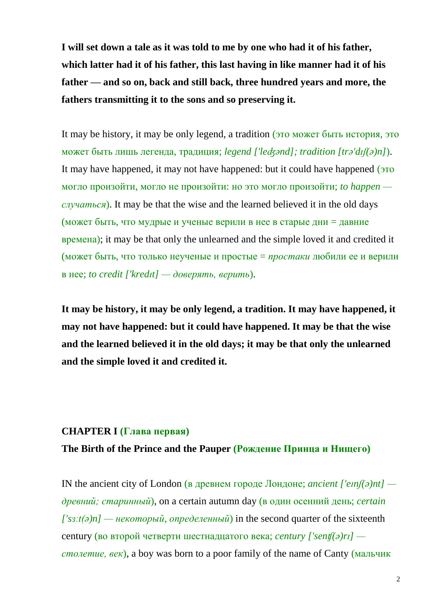**I will set down a tale as it was told to me by one who had it of his father, which latter had it of his father, this last having in like manner had it of his father — and so on, back and still back, three hundred years and more, the fathers transmitting it to the sons and so preserving it.**

It may be history, it may be only legend, a tradition (это может быть история, это может быть лишь легенда, традиция; *legend ['leʤənd]; tradition [trə'dɪʃ(ə)n]*). It may have happened, it may not have happened: but it could have happened (это могло произойти, могло не произойти: но это могло произойти; *to happen случаться*). It may be that the wise and the learned believed it in the old days (может быть, что мудрые и ученые верили в нее в старые дни = давние времена); it may be that only the unlearned and the simple loved it and credited it (может быть, что только неученые и простые = *простаки* любили ее и верили в нее; *to credit ['kredɪt] — доверять, верить*).

**It may be history, it may be only legend, a tradition. It may have happened, it may not have happened: but it could have happened. It may be that the wise and the learned believed it in the old days; it may be that only the unlearned and the simple loved it and credited it.**

## **CHAPTER I (Глава первая)**

## **The Birth of the Prince and the Pauper (Рождение Принца и Нищего)**

IN the ancient city of London (в древнем городе Лондоне; *ancient ['eɪnʃ(ə)nt] древний; старинный*), on a certain autumn day (в один осенний день; *certain*   $[}'s3:t(\partial)n]$  — *некоторый, определенный*) in the second quarter of the sixteenth century (во второй четверти шестнадцатого века; *century ['senʧ(ə)rɪ] столетие, век*), a boy was born to a poor family of the name of Canty (мальчик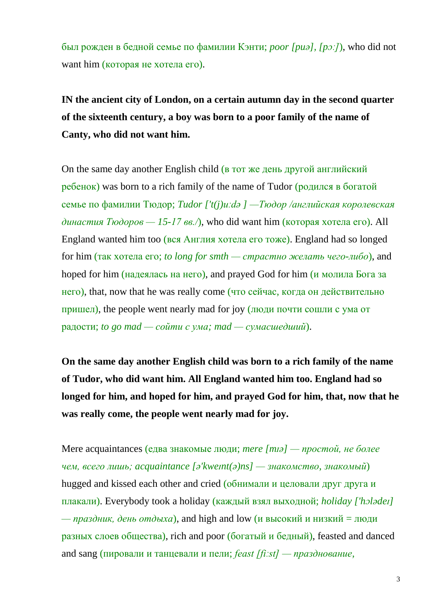был рожден в бедной семье по фамилии Кэнти; *poor [puə], [pɔː]*), who did not want him (которая не хотела его).

**IN the ancient city of London, on a certain autumn day in the second quarter of the sixteenth century, a boy was born to a poor family of the name of Canty, who did not want him.**

On the same day another English child (в тот же день другой английский ребенок) was born to a rich family of the name of Tudor (родился в богатой семье по фамилии Тюдор; *Tudor ['t(j)uːdə ] —Тюдор /английская королевская династия Тюдоров* — 15-17 вв./), who did want him (которая хотела его). All England wanted him too (вся Англия хотела его тоже). England had so longed for him (так хотела его; *to long for smth — страстно желать чего-либо*), and hoped for him (надеялась на него), and prayed God for him (и молила Бога за него), that, now that he was really come (что сейчас, когда он действительно пришел), the people went nearly mad for joy (люди почти сошли с ума от радости; *to go mad — сойти с ума; mad — сумасшедший*).

**On the same day another English child was born to a rich family of the name of Tudor, who did want him. All England wanted him too. England had so longed for him, and hoped for him, and prayed God for him, that, now that he was really come, the people went nearly mad for joy.**

Mere acquaintances (едва знакомые люди; *mere [mɪə] — простой, не более чем, всего лишь; acquaintance [ə'kweɪnt(ə)ns] — знакомство, знакомый*) hugged and kissed each other and cried (обнимали и целовали друг друга и плакали). Everybody took a holiday (каждый взял выходной; *holiday ['hɔlədeɪ]*  — *праздник*, *день отдыха*), and high and low (и высокий и низкий = люди разных слоев общества), rich and poor (богатый и бедный), feasted and danced and sang (пировали и танцевали и пели; *feast [fiːst] — празднование,*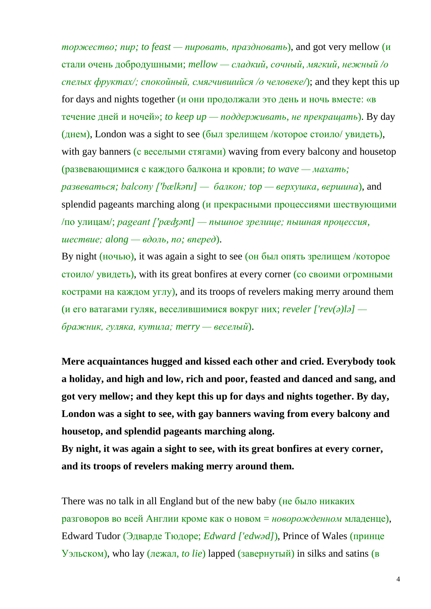*торжество; пир; to feast — пировать, праздновать*), and got very mellow (и стали очень добродушными; *mellow — сладкий, сочный, мягкий, нежный /о спелых фруктах/; спокойный, смягчившийся /о человеке/*); and they kept this up for days and nights together (и они продолжали это день и ночь вместе: «в течение дней и ночей»; *to keep up — поддерживать, не прекращать*). By day (днем), London was a sight to see (был зрелищем /которое стоило/ увидеть), with gay banners (с веселыми стягами) waving from every balcony and housetop (развевающимися с каждого балкона и кровли; *to wave — махать; развеваться; balcony ['bælkənɪ] — балкон; top — верхушка, вершина*), and splendid pageants marching along (и прекрасными процессиями шествующими /по улицам/; *pageant ['pæʤənt] — пышное зрелище; пышная процессия, шествие; along — вдоль, по; вперед*).

By night (ночью), it was again a sight to see (он был опять зрелищем /которое стоило/ увидеть), with its great bonfires at every corner (со своими огромными кострами на каждом углу), and its troops of revelers making merry around them (и его ватагами гуляк, веселившимися вокруг них; *reveler ['rev(ə)lə] бражник, гуляка, кутила; merry — веселый*).

**Mere acquaintances hugged and kissed each other and cried. Everybody took a holiday, and high and low, rich and poor, feasted and danced and sang, and got very mellow; and they kept this up for days and nights together. By day, London was a sight to see, with gay banners waving from every balcony and housetop, and splendid pageants marching along.**

**By night, it was again a sight to see, with its great bonfires at every corner, and its troops of revelers making merry around them.**

There was no talk in all England but of the new baby (не было никаких разговоров во всей Англии кроме как о новом = *новорожденном* младенце), Edward Tudor (Эдварде Тюдоре; *Edward ['edwəd]*), Prince of Wales (принце Уэльском), who lay (лежал, *to lie*) lapped (завернутый) in silks and satins (в